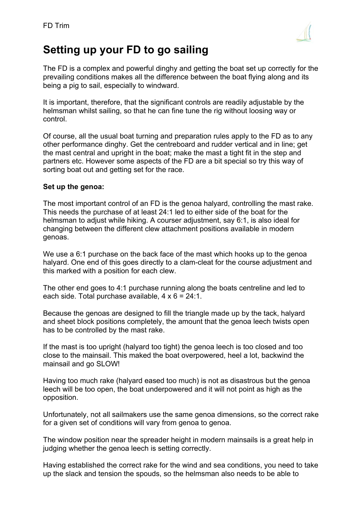

# **Setting up your FD to go sailing**

The FD is a complex and powerful dinghy and getting the boat set up correctly for the prevailing conditions makes all the difference between the boat flying along and its being a pig to sail, especially to windward.

It is important, therefore, that the significant controls are readily adjustable by the helmsman whilst sailing, so that he can fine tune the rig without loosing way or control.

Of course, all the usual boat turning and preparation rules apply to the FD as to any other performance dinghy. Get the centreboard and rudder vertical and in line; get the mast central and upright in the boat; make the mast a tight fit in the step and partners etc. However some aspects of the FD are a bit special so try this way of sorting boat out and getting set for the race.

# **Set up the genoa:**

The most important control of an FD is the genoa halyard, controlling the mast rake. This needs the purchase of at least 24:1 led to either side of the boat for the helmsman to adjust while hiking. A courser adjustment, say 6:1, is also ideal for changing between the different clew attachment positions available in modern genoas.

We use a 6:1 purchase on the back face of the mast which hooks up to the genoa halyard. One end of this goes directly to a clam-cleat for the course adjustment and this marked with a position for each clew.

The other end goes to 4:1 purchase running along the boats centreline and led to each side. Total purchase available,  $4 \times 6 = 24:1$ .

Because the genoas are designed to fill the triangle made up by the tack, halyard and sheet block positions completely, the amount that the genoa leech twists open has to be controlled by the mast rake.

If the mast is too upright (halyard too tight) the genoa leech is too closed and too close to the mainsail. This maked the boat overpowered, heel a lot, backwind the mainsail and go SLOW!

Having too much rake (halyard eased too much) is not as disastrous but the genoa leech will be too open, the boat underpowered and it will not point as high as the opposition.

Unfortunately, not all sailmakers use the same genoa dimensions, so the correct rake for a given set of conditions will vary from genoa to genoa.

The window position near the spreader height in modern mainsails is a great help in judging whether the genoa leech is setting correctly.

Having established the correct rake for the wind and sea conditions, you need to take up the slack and tension the spouds, so the helmsman also needs to be able to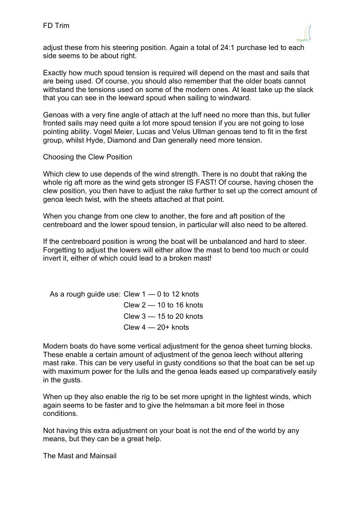

adjust these from his steering position. Again a total of 24:1 purchase led to each side seems to be about right.

Exactly how much spoud tension is required will depend on the mast and sails that are being used. Of course, you should also remember that the older boats cannot withstand the tensions used on some of the modern ones. At least take up the slack that you can see in the leeward spoud when sailing to windward.

Genoas with a very fine angle of attach at the luff need no more than this, but fuller fronted sails may need quite a lot more spoud tension if you are not going to lose pointing ability. Vogel Meier, Lucas and Velus Ullman genoas tend to fit in the first group, whilst Hyde, Diamond and Dan generally need more tension.

# Choosing the Clew Position

Which clew to use depends of the wind strength. There is no doubt that raking the whole rig aft more as the wind gets stronger IS FAST! Of course, having chosen the clew position, you then have to adjust the rake further to set up the correct amount of genoa leech twist, with the sheets attached at that point.

When you change from one clew to another, the fore and aft position of the centreboard and the lower spoud tension, in particular will also need to be altered.

If the centreboard position is wrong the boat will be unbalanced and hard to steer. Forgetting to adjust the lowers will either allow the mast to bend too much or could invert it, either of which could lead to a broken mast!

As a rough guide use: Clew  $1 - 0$  to 12 knots Clew  $2 - 10$  to 16 knots Clew  $3 - 15$  to 20 knots Clew  $4 - 20$ + knots

Modern boats do have some vertical adjustment for the genoa sheet turning blocks. These enable a certain amount of adjustment of the genoa leech without altering mast rake. This can be very useful in gusty conditions so that the boat can be set up with maximum power for the lulls and the genoa leads eased up comparatively easily in the gusts.

When up they also enable the rig to be set more upright in the lightest winds, which again seems to be faster and to give the helmsman a bit more feel in those conditions.

Not having this extra adjustment on your boat is not the end of the world by any means, but they can be a great help.

The Mast and Mainsail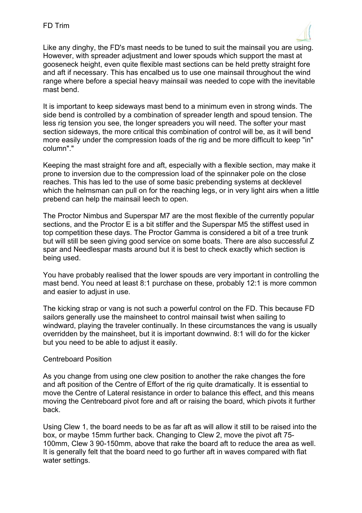

Like any dinghy, the FD's mast needs to be tuned to suit the mainsail you are using. However, with spreader adjustment and lower spouds which support the mast at gooseneck height, even quite flexible mast sections can be held pretty straight fore and aft if necessary. This has encalbed us to use one mainsail throughout the wind range where before a special heavy mainsail was needed to cope with the inevitable mast bend.

It is important to keep sideways mast bend to a minimum even in strong winds. The side bend is controlled by a combination of spreader length and spoud tension. The less rig tension you see, the longer spreaders you will need. The softer your mast section sideways, the more critical this combination of control will be, as it will bend more easily under the compression loads of the rig and be more difficult to keep "in" column"."

Keeping the mast straight fore and aft, especially with a flexible section, may make it prone to inversion due to the compression load of the spinnaker pole on the close reaches. This has led to the use of some basic prebending systems at decklevel which the helmsman can pull on for the reaching legs, or in very light airs when a little prebend can help the mainsail leech to open.

The Proctor Nimbus and Superspar M7 are the most flexible of the currently popular sections, and the Proctor E is a bit stiffer and the Superspar M5 the stiffest used in top competition these days. The Proctor Gamma is considered a bit of a tree trunk but will still be seen giving good service on some boats. There are also successful Z spar and Needlespar masts around but it is best to check exactly which section is being used.

You have probably realised that the lower spouds are very important in controlling the mast bend. You need at least 8:1 purchase on these, probably 12:1 is more common and easier to adjust in use.

The kicking strap or vang is not such a powerful control on the FD. This because FD sailors generally use the mainsheet to control mainsail twist when sailing to windward, playing the traveler continually. In these circumstances the vang is usually overridden by the mainsheet, but it is important downwind. 8:1 will do for the kicker but you need to be able to adjust it easily.

# Centreboard Position

As you change from using one clew position to another the rake changes the fore and aft position of the Centre of Effort of the rig quite dramatically. It is essential to move the Centre of Lateral resistance in order to balance this effect, and this means moving the Centreboard pivot fore and aft or raising the board, which pivots it further back.

Using Clew 1, the board needs to be as far aft as will allow it still to be raised into the box, or maybe 15mm further back. Changing to Clew 2, move the pivot aft 75- 100mm, Clew 3 90-150mm, above that rake the board aft to reduce the area as well. It is generally felt that the board need to go further aft in waves compared with flat water settings.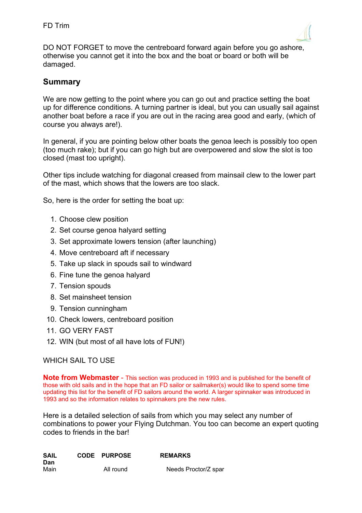

DO NOT FORGET to move the centreboard forward again before you go ashore, otherwise you cannot get it into the box and the boat or board or both will be damaged.

# **Summary**

We are now getting to the point where you can go out and practice setting the boat up for difference conditions. A turning partner is ideal, but you can usually sail against another boat before a race if you are out in the racing area good and early, (which of course you always are!).

In general, if you are pointing below other boats the genoa leech is possibly too open (too much rake); but if you can go high but are overpowered and slow the slot is too closed (mast too upright).

Other tips include watching for diagonal creased from mainsail clew to the lower part of the mast, which shows that the lowers are too slack.

So, here is the order for setting the boat up:

- 1. Choose clew position
- 2. Set course genoa halyard setting
- 3. Set approximate lowers tension (after launching)
- 4. Move centreboard aft if necessary
- 5. Take up slack in spouds sail to windward
- 6. Fine tune the genoa halyard
- 7. Tension spouds
- 8. Set mainsheet tension
- 9. Tension cunningham
- 10. Check lowers, centreboard position
- 11. GO VERY FAST
- 12. WIN (but most of all have lots of FUN!)

# WHICH SAIL TO USE

**Note from Webmaster** - This section was produced in 1993 and is published for the benefit of those with old sails and in the hope that an FD sailor or sailmaker(s) would like to spend some time updating this list for the benefit of FD sailors around the world. A larger spinnaker was introduced in 1993 and so the information relates to spinnakers pre the new rules.

Here is a detailed selection of sails from which you may select any number of combinations to power your Flying Dutchman. You too can become an expert quoting codes to friends in the bar!

| SAIL | <b>CODE PURPOSE</b> | <b>REMARKS</b>       |
|------|---------------------|----------------------|
| Dan  |                     |                      |
| Main | All round           | Needs Proctor/Z spar |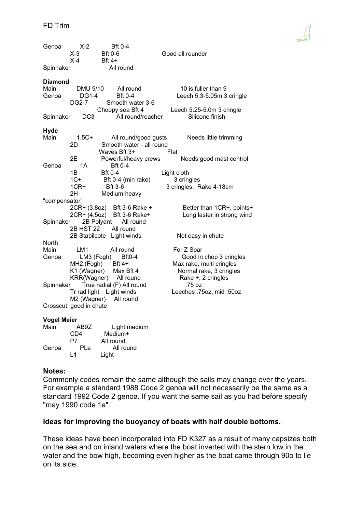| Genoa                           | $X-2$<br>$X-3$<br>$X-4$                                | <b>Bft 0-4</b><br><b>Bft 0-6</b><br><b>Bft 4+</b>                                                                | Good all rounder                                                                                                   |
|---------------------------------|--------------------------------------------------------|------------------------------------------------------------------------------------------------------------------|--------------------------------------------------------------------------------------------------------------------|
| Spinnaker                       |                                                        | All round                                                                                                        |                                                                                                                    |
| <b>Diamond</b><br>Main<br>Genoa | DMU 9/10<br><b>DG1-4</b><br><b>DG2-7</b>               | All round<br><b>Bft 0-4</b><br>Smooth water 3-6<br>Choopy sea Bft 4                                              | 10 is fuller than 9<br>Leech 5.3-5.05m 3 cringle<br>Leech 5.25-5.0m 3 cringle                                      |
| Spinnaker                       | DC <sub>3</sub>                                        | All round/reacher                                                                                                | Silicone finish                                                                                                    |
| <b>Hyde</b><br>Main             | $1.5C +$<br>2D                                         | All round/good gusts<br>Smooth water - all round                                                                 | Needs little trimming                                                                                              |
| Genoa                           | 2E<br>1A<br>1B<br>$1C+$<br>$1CR+$                      | Waves Bft 3+<br>Powerful/heavy crews<br><b>Bft 0-4</b><br><b>Bft 0-4</b><br>Bft 0-4 (min rake)<br><b>Bft 3-6</b> | Flat<br>Needs good mast control<br>Light cloth<br>3 cringles<br>3 cringles. Rake 4-18cm                            |
| "compensator"<br>Spinnaker      | 2H<br>2CR+ (4.5oz)                                     | Medium-heavy<br>2CR+ (3.8oz) Bft 3-6 Rake +<br>Bft 3-6 Rake+<br>2B Polyant<br>All round                          | Better than 1CR+, points+<br>Long laster in strong wind                                                            |
|                                 | <b>2B HST 22</b>                                       | All round<br>2B Stabilcote Light winds                                                                           | Not easy in chute                                                                                                  |
| North<br>Main<br>Genoa          | LM1<br>LM3 (Fogh)<br>MH2 (Fogh)                        | All round<br><b>Bft0-4</b><br>Bft 4+<br>K1 (Wagner) Max Bft 4<br>KRR(Wagner) All round                           | For Z Spar<br>Good in chop 3 cringles<br>Max rake, multi cringles<br>Normal rake, 3 cringles<br>Rake +, 2 cringles |
| Spinnaker                       | Tr rad light<br>M2 (Wagner)<br>Crosscut, good in chute | True radial (F) All round<br>Light winds<br>All round                                                            | .75 oz<br>Leeches .75oz, mid .50oz                                                                                 |
| <i>Manel Maier</i>              |                                                        |                                                                                                                  |                                                                                                                    |

#### **Vogel Meier**

| Main  | AB9Z | Light medium |
|-------|------|--------------|
|       | CD4  | Medium+      |
|       | P7   | All round    |
| Genoa | PLa  | All round    |
|       | l 1  | Light        |

## **Notes:**

Commonly codes remain the same although the sails may change over the years. For example a standard 1988 Code 2 genoa will not necessarily be the same as a standard 1992 Code 2 genoa. If you want the same sail as you had before specify "may 1990 code 1a".

## **Ideas for improving the buoyancy of boats with half double bottoms.**

These ideas have been incorporated into FD K327 as a result of many capsizes both on the sea and on inland waters where the boat inverted with the stern low in the water and the bow high, becoming even higher as the boat came through 90o to lie on its side.